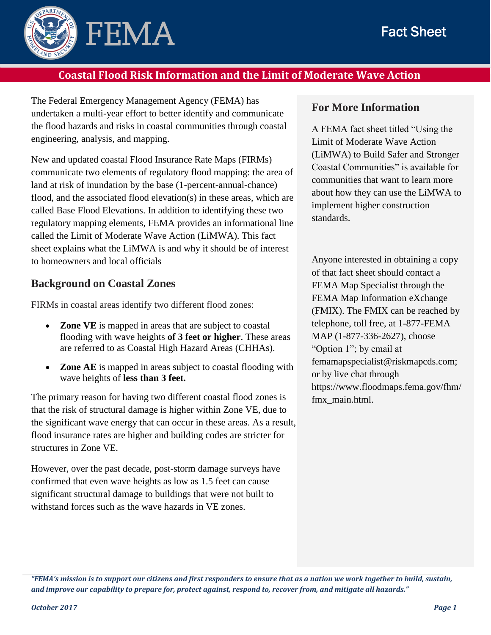

### **Coastal Flood Risk Information and the Limit of Moderate Wave Action**

The Federal Emergency Management Agency (FEMA) has undertaken a multi-year effort to better identify and communicate the flood hazards and risks in coastal communities through coastal engineering, analysis, and mapping.

New and updated coastal Flood Insurance Rate Maps (FIRMs) communicate two elements of regulatory flood mapping: the area of land at risk of inundation by the base (1-percent-annual-chance) flood, and the associated flood elevation(s) in these areas, which are called Base Flood Elevations. In addition to identifying these two regulatory mapping elements, FEMA provides an informational line called the Limit of Moderate Wave Action (LiMWA). This fact sheet explains what the LiMWA is and why it should be of interest to homeowners and local officials

#### **Background on Coastal Zones**

FIRMs in coastal areas identify two different flood zones:

- **Zone VE** is mapped in areas that are subject to coastal flooding with wave heights **of 3 feet or higher**. These areas are referred to as Coastal High Hazard Areas (CHHAs).
- **Zone AE** is mapped in areas subject to coastal flooding with wave heights of **less than 3 feet.**

The primary reason for having two different coastal flood zones is that the risk of structural damage is higher within Zone VE, due to the significant wave energy that can occur in these areas. As a result, flood insurance rates are higher and building codes are stricter for structures in Zone VE.

However, over the past decade, post-storm damage surveys have confirmed that even wave heights as low as 1.5 feet can cause significant structural damage to buildings that were not built to withstand forces such as the wave hazards in VE zones.

#### **For More Information**

A FEMA fact sheet titled "Using the Limit of Moderate Wave Action (LiMWA) to Build Safer and Stronger Coastal Communities" is available for communities that want to learn more about how they can use the LiMWA to implement higher construction standards.

Anyone interested in obtaining a copy of that fact sheet should contact a FEMA Map Specialist through the FEMA Map Information eXchange (FMIX). The FMIX can be reached by telephone, toll free, at 1-877-FEMA MAP (1-877-336-2627), choose "Option 1"; by email at femamapspecialist@riskmapcds.com; or by live chat through https://www.floodmaps.fema.gov/fhm/ fmx main.html.

*<sup>&</sup>quot;FEMA's mission is to support our citizens and first responders to ensure that as a nation we work together to build, sustain, and improve our capability to prepare for, protect against, respond to, recover from, and mitigate all hazards."*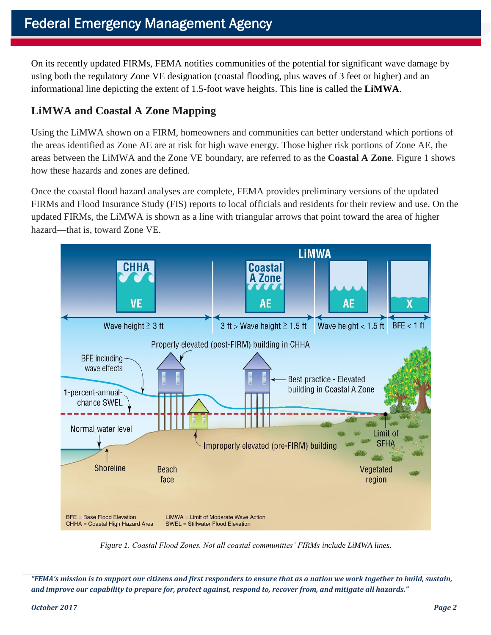On its recently updated FIRMs, FEMA notifies communities of the potential for significant wave damage by using both the regulatory Zone VE designation (coastal flooding, plus waves of 3 feet or higher) and an informational line depicting the extent of 1.5-foot wave heights. This line is called the **LiMWA**.

# **LiMWA and Coastal A Zone Mapping**

Using the LiMWA shown on a FIRM, homeowners and communities can better understand which portions of the areas identified as Zone AE are at risk for high wave energy. Those higher risk portions of Zone AE, the areas between the LiMWA and the Zone VE boundary, are referred to as the **Coastal A Zone**. Figure 1 shows how these hazards and zones are defined.

Once the coastal flood hazard analyses are complete, FEMA provides preliminary versions of the updated FIRMs and Flood Insurance Study (FIS) reports to local officials and residents for their review and use. On the updated FIRMs, the LiMWA is shown as a line with triangular arrows that point toward the area of higher hazard—that is, toward Zone VE.



*Figure 1. Coastal Flood Zones. Not all coastal communities' FIRMs include LiMWA lines.*

*"FEMA's mission is to support our citizens and first responders to ensure that as a nation we work together to build, sustain, and improve our capability to prepare for, protect against, respond to, recover from, and mitigate all hazards."*